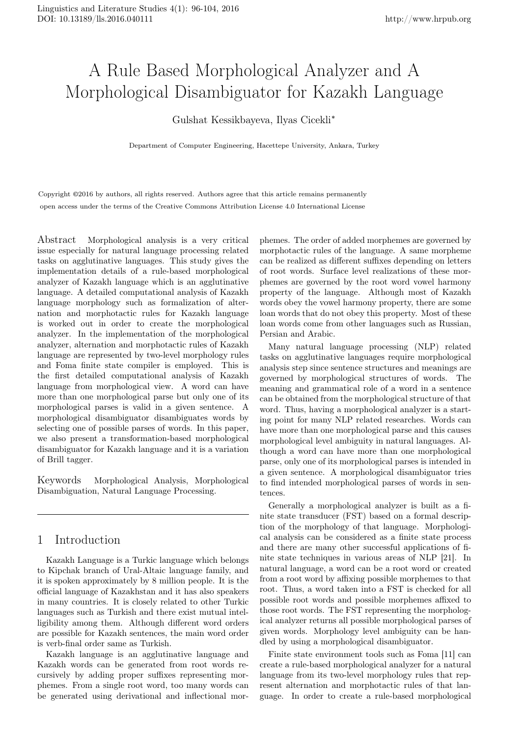# A Rule Based Morphological Analyzer and A Morphological Disambiguator for Kazakh Language

Gulshat Kessikbayeva, Ilyas Cicekli*<sup>∗</sup>*

Department of Computer Engineering, Hacettepe University, Ankara, Turkey

Copyright ©2016 by authors, all rights reserved. Authors agree that this article remains permanently open access under the terms of the Creative Commons Attribution License 4.0 International License

Abstract Morphological analysis is a very critical issue especially for natural language processing related tasks on agglutinative languages. This study gives the implementation details of a rule-based morphological analyzer of Kazakh language which is an agglutinative language. A detailed computational analysis of Kazakh language morphology such as formalization of alternation and morphotactic rules for Kazakh language is worked out in order to create the morphological analyzer. In the implementation of the morphological analyzer, alternation and morphotactic rules of Kazakh language are represented by two-level morphology rules and Foma finite state compiler is employed. This is the first detailed computational analysis of Kazakh language from morphological view. A word can have more than one morphological parse but only one of its morphological parses is valid in a given sentence. A morphological disambiguator disambiguates words by selecting one of possible parses of words. In this paper, we also present a transformation-based morphological disambiguator for Kazakh language and it is a variation of Brill tagger.

Keywords Morphological Analysis, Morphological Disambiguation, Natural Language Processing.

# 1 Introduction

Kazakh Language is a Turkic language which belongs to Kipchak branch of Ural-Altaic language family, and it is spoken approximately by 8 million people. It is the official language of Kazakhstan and it has also speakers in many countries. It is closely related to other Turkic languages such as Turkish and there exist mutual intelligibility among them. Although different word orders are possible for Kazakh sentences, the main word order is verb-final order same as Turkish.

Kazakh language is an agglutinative language and Kazakh words can be generated from root words recursively by adding proper suffixes representing morphemes. From a single root word, too many words can be generated using derivational and inflectional mor-

phemes. The order of added morphemes are governed by morphotactic rules of the language. A same morpheme can be realized as different suffixes depending on letters of root words. Surface level realizations of these morphemes are governed by the root word vowel harmony property of the language. Although most of Kazakh words obey the vowel harmony property, there are some loan words that do not obey this property. Most of these loan words come from other languages such as Russian, Persian and Arabic.

Many natural language processing (NLP) related tasks on agglutinative languages require morphological analysis step since sentence structures and meanings are governed by morphological structures of words. The meaning and grammatical role of a word in a sentence can be obtained from the morphological structure of that word. Thus, having a morphological analyzer is a starting point for many NLP related researches. Words can have more than one morphological parse and this causes morphological level ambiguity in natural languages. Although a word can have more than one morphological parse, only one of its morphological parses is intended in a given sentence. A morphological disambiguator tries to find intended morphological parses of words in sentences.

Generally a morphological analyzer is built as a finite state transducer (FST) based on a formal description of the morphology of that language. Morphological analysis can be considered as a finite state process and there are many other successful applications of finite state techniques in various areas of NLP [21]. In natural language, a word can be a root word or created from a root word by affixing possible morphemes to that root. Thus, a word taken into a FST is checked for all possible root words and possible morphemes affixed to those root words. The FST representing the morphological analyzer returns all possible morphological parses of given words. Morphology level ambiguity can be handled by using a morphological disambiguator.

Finite state environment tools such as Foma [11] can create a rule-based morphological analyzer for a natural language from its two-level morphology rules that represent alternation and morphotactic rules of that language. In order to create a rule-based morphological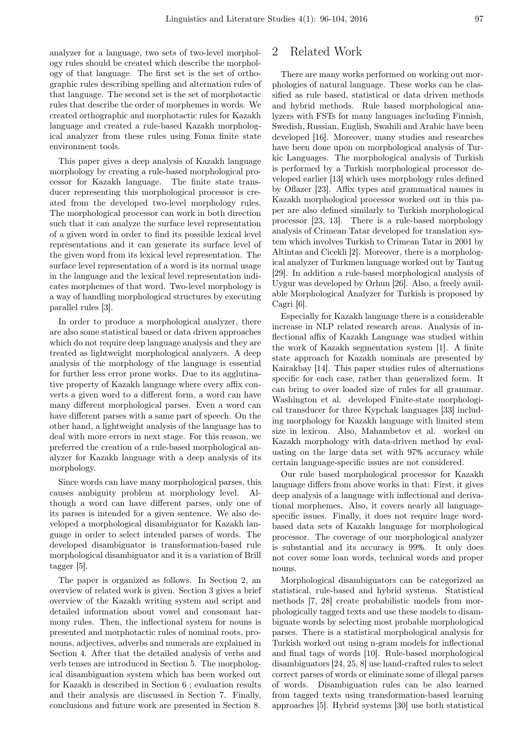analyzer for a language, two sets of two-level morphology rules should be created which describe the morphology of that language. The first set is the set of orthographic rules describing spelling and alternation rules of that language. The second set is the set of morphotactic rules that describe the order of morphemes in words. We created orthographic and morphotactic rules for Kazakh language and created a rule-based Kazakh morphological analyzer from these rules using Foma finite state environment tools.

This paper gives a deep analysis of Kazakh language morphology by creating a rule-based morphological processor for Kazakh language. The finite state transducer representing this morphological processor is created from the developed two-level morphology rules. The morphological processor can work in both direction such that it can analyze the surface level representation of a given word in order to find its possible lexical level representations and it can generate its surface level of the given word from its lexical level representation. The surface level representation of a word is its normal usage in the language and the lexical level representation indicates morphemes of that word. Two-level morphology is a way of handling morphological structures by executing parallel rules [3].

In order to produce a morphological analyzer, there are also some statistical based or data driven approaches which do not require deep language analysis and they are treated as lightweight morphological analyzers. A deep analysis of the morphology of the language is essential for further less error prone works. Due to its agglutinative property of Kazakh language where every affix converts a given word to a different form, a word can have many different morphological parses. Even a word can have different parses with a same part of speech. On the other hand, a lightweight analysis of the language has to deal with more errors in next stage. For this reason, we preferred the creation of a rule-based morphological analyzer for Kazakh language with a deep analysis of its morphology.

Since words can have many morphological parses, this causes ambiguity problem at morphology level. Although a word can have different parses, only one of its parses is intended for a given sentence. We also developed a morphological disambiguator for Kazakh language in order to select intended parses of words. The developed disambiguator is transformation-based rule morphological disambiguator and it is a variation of Brill tagger [5].

The paper is organized as follows. In Section 2, an overview of related work is given. Section 3 gives a brief overview of the Kazakh writing system and script and detailed information about vowel and consonant harmony rules. Then, the inflectional system for nouns is presented and morphotactic rules of nominal roots, pronouns, adjectives, adverbs and numerals are explained in Section 4. After that the detailed analysis of verbs and verb tenses are introduced in Section 5. The morphological disambiguation system which has been worked out for Kazakh is described in Section 6 ; evaluation results and their analysis are discussed in Section 7. Finally, conclusions and future work are presented in Section 8.

## 2 Related Work

There are many works performed on working out morphologies of natural language. These works can be classified as rule based, statistical or data driven methods and hybrid methods. Rule based morphological analyzers with FSTs for many languages including Finnish, Swedish, Russian, English, Swahili and Arabic have been developed [16]. Moreover, many studies and researches have been done upon on morphological analysis of Turkic Languages. The morphological analysis of Turkish is performed by a Turkish morphological processor developed earlier [13] which uses morphology rules defined by Oflazer [23]. Affix types and grammatical names in Kazakh morphological processor worked out in this paper are also defined similarly to Turkish morphological processor [23, 13]. There is a rule-based morphology analysis of Crimean Tatar developed for translation system which involves Turkish to Crimean Tatar in 2001 by Altintas and Cicekli [2]. Moreover, there is a morphological analyzer of Turkmen language worked out by Tantug [29]. In addition a rule-based morphological analysis of Uygur was developed by Orhun [26]. Also, a freely available Morphological Analyzer for Turkish is proposed by Cagri [6].

Especially for Kazakh language there is a considerable increase in NLP related research areas. Analysis of inflectional affix of Kazakh Language was studied within the work of Kazakh segmentation system [1]. A finite state approach for Kazakh nominals are presented by Kairakbay [14]. This paper studies rules of alternations specific for each case, rather than generalized form. It can bring to over loaded size of rules for all grammar. Washington et al. developed Finite-state morphological transducer for three Kypchak languages [33] including morphology for Kazakh language with limited stem size in lexicon. Also, Mahambetov et al. worked on Kazakh morphology with data-driven method by evaluating on the large data set with 97% accuracy while certain language-specific issues are not considered.

Our rule based morphological processor for Kazakh language differs from above works in that: First, it gives deep analysis of a language with inflectional and derivational morphemes. Also, it covers nearly all languagespecific issues. Finally, it does not require huge wordbased data sets of Kazakh language for morphological processor. The coverage of our morphological analyzer is substantial and its accuracy is 99%. It only does not cover some loan words, technical words and proper nouns.

Morphological disambiguators can be categorized as statistical, rule-based and hybrid systems. Statistical methods [7, 28] create probabilistic models from morphologically tagged texts and use these models to disambiguate words by selecting most probable morphological parses. There is a statistical morphological analysis for Turkish worked out using n-gram models for inflectional and final tags of words [10]. Rule-based morphological disambiguators [24, 25, 8] use hand-crafted rules to select correct parses of words or eliminate some of illegal parses of words. Disambiguation rules can be also learned from tagged texts using transformation-based learning approaches [5]. Hybrid systems [30] use both statistical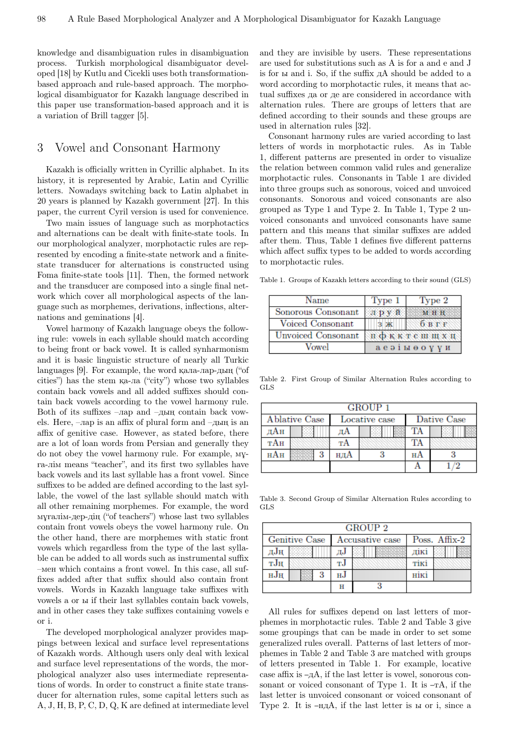knowledge and disambiguation rules in disambiguation process. Turkish morphological disambiguator developed [18] by Kutlu and Cicekli uses both transformationbased approach and rule-based approach. The morphological disambiguator for Kazakh language described in this paper use transformation-based approach and it is a variation of Brill tagger [5].

## 3 Vowel and Consonant Harmony

Kazakh is officially written in Cyrillic alphabet. In its history, it is represented by Arabic, Latin and Cyrillic letters. Nowadays switching back to Latin alphabet in 20 years is planned by Kazakh government [27]. In this paper, the current Cyril version is used for convenience.

Two main issues of language such as morphotactics and alternations can be dealt with finite-state tools. In our morphological analyzer, morphotactic rules are represented by encoding a finite-state network and a finitestate transducer for alternations is constructed using Foma finite-state tools [11]. Then, the formed network and the transducer are composed into a single final network which cover all morphological aspects of the language such as morphemes, derivations, inflections, alternations and geminations [4].

Vowel harmony of Kazakh language obeys the following rule: vowels in each syllable should match according to being front or back vowel. It is called synharmonism and it is basic linguistic structure of nearly all Turkic languages [9]. For example, the word қала-лар-дың ("of cities") has the stem қа-ла ("city") whose two syllables contain back vowels and all added suffixes should contain back vowels according to the vowel harmony rule. Both of its suffixes –лар and –дың contain back vowels. Here, –лар is an affix of plural form and –дың is an affix of genitive case. However, as stated before, there are a lot of loan words from Persian and generally they do not obey the vowel harmony rule. For example, мұға-лiм means "teacher", and its first two syllables have back vowels and its last syllable has a front vowel. Since suffixes to be added are defined according to the last syllable, the vowel of the last syllable should match with all other remaining morphemes. For example, the word мұғалiм-дер-дiң ("of teachers") whose last two syllables contain front vowels obeys the vowel harmony rule. On the other hand, there are morphemes with static front vowels which regardless from the type of the last syllable can be added to all words such as instrumental suffix –мен which contains a front vowel. In this case, all suffixes added after that suffix should also contain front vowels. Words in Kazakh language take suffixes with vowels а or ы if their last syllables contain back vowels, and in other cases they take suffixes containing vowels е or i.

The developed morphological analyzer provides mappings between lexical and surface level representations of Kazakh words. Although users only deal with lexical and surface level representations of the words, the morphological analyzer also uses intermediate representations of words. In order to construct a finite state transducer for alternation rules, some capital letters such as A, J, H, B, P, C, D, Q, K are defined at intermediate level and they are invisible by users. These representations are used for substitutions such as A is for а and е and J is for ы and i. So, if the suffix дA should be added to a word according to morphotactic rules, it means that actual suffixes да or де are considered in accordance with alternation rules. There are groups of letters that are defined according to their sounds and these groups are used in alternation rules [32].

Consonant harmony rules are varied according to last letters of words in morphotactic rules. As in Table 1, different patterns are presented in order to visualize the relation between common valid rules and generalize morphotactic rules. Consonants in Table 1 are divided into three groups such as sonorous, voiced and unvoiced consonants. Sonorous and voiced consonants are also grouped as Type 1 and Type 2. In Table 1, Type 2 unvoiced consonants and unvoiced consonants have same pattern and this means that similar suffixes are added after them. Thus, Table 1 defines five different patterns which affect suffix types to be added to words according to morphotactic rules.

Table 1. Groups of Kazakh letters according to their sound (GLS)

| Vame               | Type 1 | Type 2       |
|--------------------|--------|--------------|
| Sonorous Consonant |        | мнн          |
| Voiced Consonant   |        | $0B$ $F$ $F$ |
| Unvoiced Consonant |        | пфқктсшщхц   |
| Vowel              |        | аеэты өоүүи  |

Table 2. First Group of Similar Alternation Rules according to GLS

|               | GROUP 1 |     |               |             |  |  |  |
|---------------|---------|-----|---------------|-------------|--|--|--|
| Ablative Case |         |     | Locative case | Dative Case |  |  |  |
| лАн           |         | дΑ  |               | TА          |  |  |  |
| тАн           |         | тA  |               | TA          |  |  |  |
| нАн           |         | ндА |               | нΑ          |  |  |  |
|               |         |     |               |             |  |  |  |

Table 3. Second Group of Similar Alternation Rules according to GLS

| GROUP <sub>2</sub> |  |                 |  |  |               |  |
|--------------------|--|-----------------|--|--|---------------|--|
| Genitive Case      |  | Accusative case |  |  | Poss. Affix-2 |  |
| дJн                |  | ДJ              |  |  | лікі          |  |
| тЈн                |  | тJ              |  |  | тікі          |  |
| нЈн                |  | нJ              |  |  | нікі          |  |
|                    |  | н               |  |  |               |  |

All rules for suffixes depend on last letters of morphemes in morphotactic rules. Table 2 and Table 3 give some groupings that can be made in order to set some generalized rules overall. Patterns of last letters of morphemes in Table 2 and Table 3 are matched with groups of letters presented in Table 1. For example, locative case affix is –дA, if the last letter is vowel, sonorous consonant or voiced consonant of Type 1. It is  $-<sub>T</sub>A$ , if the last letter is unvoiced consonant or voiced consonant of Type 2. It is –ндA, if the last letter is ы or i, since a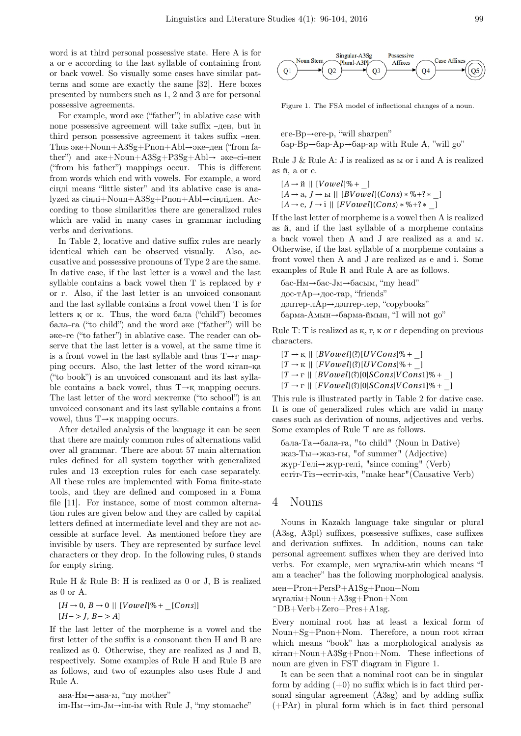word is at third personal possessive state. Here A is for а or е according to the last syllable of containing front or back vowel. So visually some cases have similar patterns and some are exactly the same [32]. Here boxes presented by numbers such as 1, 2 and 3 are for personal possessive agreements.

For example, word әке ("father") in ablative case with none possessive agreement will take suffix –ден, but in third person possessive agreement it takes suffix –нен. Thus әке+Noun+A3Sg+Pnon+Abl*→*әке–ден ("from father") and әке+Noun+A3Sg+P3Sg+Abl*→* әке–сi–нен ("from his father") mappings occur. This is different from words which end with vowels. For example, a word сiңлi means "little sister" and its ablative case is analyzed as сiңлi+Noun+A3Sg+Pnon+Abl*→*сiңлiден. According to those similarities there are generalized rules which are valid in many cases in grammar including verbs and derivations.

In Table 2, locative and dative suffix rules are nearly identical which can be observed visually. Also, accusative and possessive pronouns of Type 2 are the same. In dative case, if the last letter is a vowel and the last syllable contains a back vowel then T is replaced by ғ or г. Also, if the last letter is an unvoiced consonant and the last syllable contains a front vowel then T is for letters қ or к. Thus, the word бала ("child") becomes бала–ға ("to child") and the word әке ("father") will be әке–ге ("to father") in ablative case. The reader can observe that the last letter is a vowel, at the same time it is a front vowel in the last syllable and thus T*→*ғ mapping occurs. Also, the last letter of the word кiтап–қа ("to book") is an unvoiced consonant and its last syllable contains a back vowel, thus T*→*қ mapping occurs. The last letter of the word мектепке ("to school") is an unvoiced consonant and its last syllable contains a front vowel, thus T*→*к mapping occurs.

After detailed analysis of the language it can be seen that there are mainly common rules of alternations valid over all grammar. There are about 57 main alternation rules defined for all system together with generalized rules and 13 exception rules for each case separately. All these rules are implemented with Foma finite-state tools, and they are defined and composed in a Foma file [11]. For instance, some of most common alternation rules are given below and they are called by capital letters defined at intermediate level and they are not accessible at surface level. As mentioned before they are invisible by users. They are represented by surface level characters or they drop. In the following rules, 0 stands for empty string.

Rule H & Rule B: H is realized as 0 or J, B is realized as 0 or A.

$$
[H \rightarrow 0, B \rightarrow 0 || [Vowel]\% + [Cons]]
$$
  

$$
[H->J, B->A]
$$

If the last letter of the morpheme is a vowel and the first letter of the suffix is a consonant then H and B are realized as 0. Otherwise, they are realized as J and B, respectively. Some examples of Rule H and Rule B are as follows, and two of examples also uses Rule J and Rule A.

ана-Hм*→*ана-м, "my mother" iш-Hм*→*iш-Jм*→*iш-iм with Rule J, "my stomache"



Figure 1. The FSA model of inflectional changes of a noun.

еге-Bр*→*еге-р, "will sharpen" бар-Bр*→*бар-Aр*→*бар-ар with Rule A, "will go"

Rule J & Rule A: J is realized as ы or i and A is realized as й, а or е.

- $[A \rightarrow \nparallel [Vowel]\% + \_]$
- [*A →* а, *J →* ы *||* [*BV owel*](*Cons*)*∗*%*+*?*∗*\_]

[*A →* е, *J →* i *||* [*FV owel*](*Cons*)*∗*%*+*?*∗*\_]

If the last letter of morpheme is a vowel then A is realized as й, and if the last syllable of a morpheme contains a back vowel then A and J are realized as a and ы. Otherwise, if the last syllable of a morpheme contains a front vowel then A and J are realized as е and i. Some examples of Rule R and Rule A are as follows.

бас-Hм*→*бас-Jм*→*басым, "my head" дос-тAр*→*дос-тар, "friends" дәптер-лAр*→*дәптер-лер, "copybooks" барма-Aмын*→*барма-ймын, "I will not go"

Rule T: T is realized as қ, ғ, к or г depending on previous characters.

 $[T \rightarrow K \mid [BVowel](?) [UVCons] \% +$  $[T \rightarrow \kappa]$  |  $[FVowel](?)$   $[UVCons] \% +$  ]  $[T \rightarrow F \parallel [BVowel]$ (?)[0*|SCons|VCons*1]%+ ]  $[T \rightarrow r \mid | [FVouel](?)|0|SCons|VCons1|\% + \}$ 

This rule is illustrated partly in Table 2 for dative case. It is one of generalized rules which are valid in many cases such as derivation of nouns, adjectives and verbs. Some examples of Rule T are as follows.

бала-Tа*→*бала-ға, "to child" (Noun in Dative) жаз-Tы*→*жаз-ғы, "of summer" (Adjective) жүр-Tелi*→*жүр-гелi, "since coming" (Verb) естiт-Tiз*→*естiт-кiз, "make hear"(Causative Verb)

#### 4 Nouns

Nouns in Kazakh language take singular or plural (A3sg, A3pl) suffixes, possessive suffixes, case suffixes and derivation suffixes. In addition, nouns can take personal agreement suffixes when they are derived into verbs. For example, мен мұғалiм-мiн which means "I am a teacher" has the following morphological analysis.

```
мен+Pron+PersP+A1Sg+Pnon+Nom
мұғалiм+Noun+A3sg+Pnon+Nom
```
 $\cap$ B+Verb+Zero+Pres+A1sg.

Every nominal root has at least a lexical form of Noun+Sg+Pnon+Nom. Therefore, a noun root кiтап which means "book" has a morphological analysis as кiтап+Noun+A3Sg+Pnon+Nom. These inflections of noun are given in FST diagram in Figure 1.

It can be seen that a nominal root can be in singular form by adding  $(+0)$  no suffix which is in fact third personal singular agreement (A3sg) and by adding suffix  $(+PAr)$  in plural form which is in fact third personal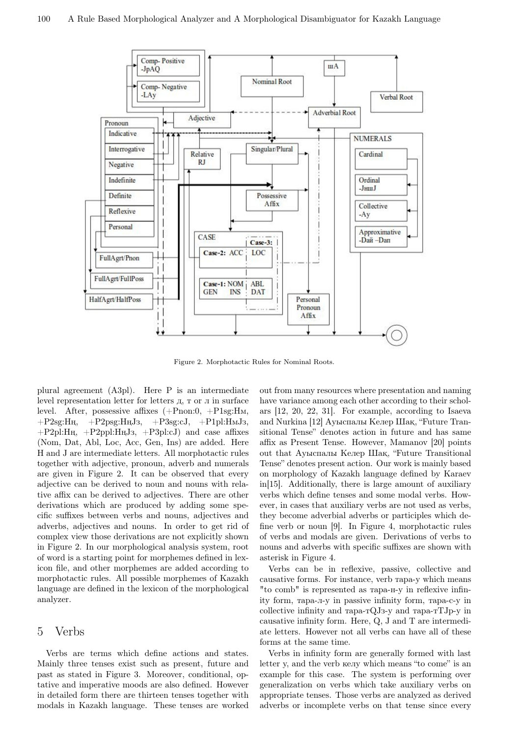

Figure 2. Morphotactic Rules for Nominal Roots.

plural agreement (A3pl). Here P is an intermediate level representation letter for letters д, т or л in surface level. After, possessive affixes (+Pnon:0, +P1sg:Hм,  $+P2sg:H_H$ ,  $+P2psg:H_HJ_3$ ,  $+P3sg:cJ$ ,  $+P1pl:H_MJ_3$ , +P2pl:Hң, +P2ppl:HңJз, +P3pl:сJ) and case affixes (Nom, Dat, Abl, Loc, Acc, Gen, Ins) are added. Here H and J are intermediate letters. All morphotactic rules together with adjective, pronoun, adverb and numerals are given in Figure 2. It can be observed that every adjective can be derived to noun and nouns with relative affix can be derived to adjectives. There are other derivations which are produced by adding some specific suffixes between verbs and nouns, adjectives and adverbs, adjectives and nouns. In order to get rid of complex view those derivations are not explicitly shown in Figure 2. In our morphological analysis system, root of word is a starting point for morphemes defined in lexicon file, and other morphemes are added according to morphotactic rules. All possible morphemes of Kazakh language are defined in the lexicon of the morphological analyzer.

#### 5 Verbs

Verbs are terms which define actions and states. Mainly three tenses exist such as present, future and past as stated in Figure 3. Moreover, conditional, optative and imperative moods are also defined. However in detailed form there are thirteen tenses together with modals in Kazakh language. These tenses are worked out from many resources where presentation and naming have variance among each other according to their scholars [12, 20, 22, 31]. For example, according to Isaeva and Nurkina [12] Ауыспалы Келер Шақ, "Future Transitional Tense" denotes action in future and has same affix as Present Tense. However, Mamanov [20] points out that Ауыспалы Келер Шақ, "Future Transitional Tense" denotes present action. Our work is mainly based on morphology of Kazakh language defined by Karaev in[15]. Additionally, there is large amount of auxiliary verbs which define tenses and some modal verbs. However, in cases that auxiliary verbs are not used as verbs, they become adverbial adverbs or participles which define verb or noun [9]. In Figure 4, morphotactic rules of verbs and modals are given. Derivations of verbs to nouns and adverbs with specific suffixes are shown with asterisk in Figure 4.

Verbs can be in reflexive, passive, collective and causative forms. For instance, verb тара-у which means "to comb" is represented as тара-н-у in reflexive infinity form, тара-л-у in passive infinity form, тара-с-у in collective infinity and тара-тQJз-у and тара-тТJр-у in causative infinity form. Here, Q, J and T are intermediate letters. However not all verbs can have all of these forms at the same time.

Verbs in infinity form are generally formed with last letter у, and the verb келу which means "to come" is an example for this case. The system is performing over generalization on verbs which take auxiliary verbs on appropriate tenses. Those verbs are analyzed as derived adverbs or incomplete verbs on that tense since every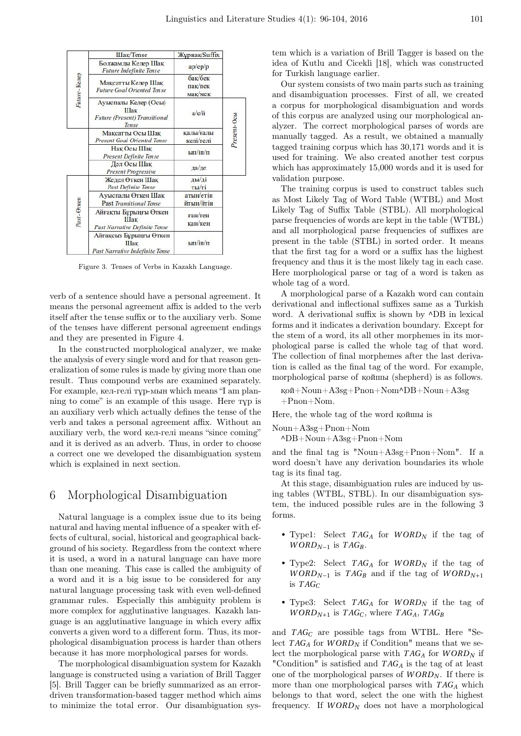

Figure 3. Tenses of Verbs in Kazakh Language.

verb of a sentence should have a personal agreement. It means the personal agreement affix is added to the verb itself after the tense suffix or to the auxiliary verb. Some of the tenses have different personal agreement endings and they are presented in Figure 4.

In the constructed morphological analyzer, we make the analysis of every single word and for that reason generalization of some rules is made by giving more than one result. Thus compound verbs are examined separately. For example, кел-гелi тұр-мын which means "I am planning to come" is an example of this usage. Here  $\tau \gamma p$  is an auxiliary verb which actually defines the tense of the verb and takes a personal agreement affix. Without an auxiliary verb, the word кел-гелi means "since coming" and it is derived as an adverb. Thus, in order to choose a correct one we developed the disambiguation system which is explained in next section.

#### 6 Morphological Disambiguation

Natural language is a complex issue due to its being natural and having mental influence of a speaker with effects of cultural, social, historical and geographical background of his society. Regardless from the context where it is used, a word in a natural language can have more than one meaning. This case is called the ambiguity of a word and it is a big issue to be considered for any natural language processing task with even well-defined grammar rules. Especially this ambiguity problem is more complex for agglutinative languages. Kazakh language is an agglutinative language in which every affix converts a given word to a different form. Thus, its morphological disambiguation process is harder than others because it has more morphological parses for words.

The morphological disambiguation system for Kazakh language is constructed using a variation of Brill Tagger [5]. Brill Tagger can be briefly summarized as an errordriven transformation-based tagger method which aims to minimize the total error. Our disambiguation sys-

tem which is a variation of Brill Tagger is based on the idea of Kutlu and Cicekli [18], which was constructed for Turkish language earlier.

Our system consists of two main parts such as training and disambiguation processes. First of all, we created a corpus for morphological disambiguation and words of this corpus are analyzed using our morphological analyzer. The correct morphological parses of words are manually tagged. As a result, we obtained a manually tagged training corpus which has 30,171 words and it is used for training. We also created another test corpus which has approximately 15,000 words and it is used for validation purpose.

The training corpus is used to construct tables such as Most Likely Tag of Word Table (WTBL) and Most Likely Tag of Suffix Table (STBL). All morphological parse frequencies of words are kept in the table (WTBL) and all morphological parse frequencies of suffixes are present in the table (STBL) in sorted order. It means that the first tag for a word or a suffix has the highest frequency and thus it is the most likely tag in each case. Here morphological parse or tag of a word is taken as whole tag of a word.

A morphological parse of a Kazakh word can contain derivational and inflectional suffixes same as a Turkish word. A derivational suffix is shown by  $\triangle$ DB in lexical forms and it indicates a derivation boundary. Except for the stem of a word, its all other morphemes in its morphological parse is called the whole tag of that word. The collection of final morphemes after the last derivation is called as the final tag of the word. For example, morphological parse of қойшы (shepherd) is as follows.

қой+Noun+A3sg+Pnon+Nom^DB+Noun+A3sg +Pnon+Nom.

Here, the whole tag of the word қойшы is

Noun+A3sg+Pnon+Nom

^DB+Noun+A3sg+Pnon+Nom

and the final tag is "Noun+A3sg+Pnon+Nom". If a word doesn't have any derivation boundaries its whole tag is its final tag.

At this stage, disambiguation rules are induced by using tables (WTBL, STBL). In our disambiguation system, the induced possible rules are in the following 3 forms.

- Type1: Select *T AG<sup>A</sup>* for *W ORD<sup>N</sup>* if the tag of *WORD*<sub>*N*−1</sub> is  $TAG_B$ .
- Type2: Select *T AG<sup>A</sup>* for *W ORD<sup>N</sup>* if the tag of *WORD*<sub>*N*−1</sub> is  $TAG_B$  and if the tag of  $WORD_{N+1}$ is *T AG<sup>C</sup>*
- Type3: Select *T AG<sup>A</sup>* for *W ORD<sup>N</sup>* if the tag of *WORD*<sub>*N*+1</sub> is *TAG*<sup>*C*</sup>, where *TAG*<sup>*A*</sup>, *TAG*<sup>*B*</sup>

and *T AG<sup>C</sup>* are possible tags from WTBL. Here "Select *T AG<sup>A</sup>* for *W ORD<sup>N</sup>* if Condition" means that we select the morphological parse with *T AG<sup>A</sup>* for *W ORD<sup>N</sup>* if "Condition" is satisfied and *T AG<sup>A</sup>* is the tag of at least one of the morphological parses of *W ORD<sup>N</sup>* . If there is more than one morphological parses with *T AG<sup>A</sup>* which belongs to that word, select the one with the highest frequency. If  $WORD_N$  does not have a morphological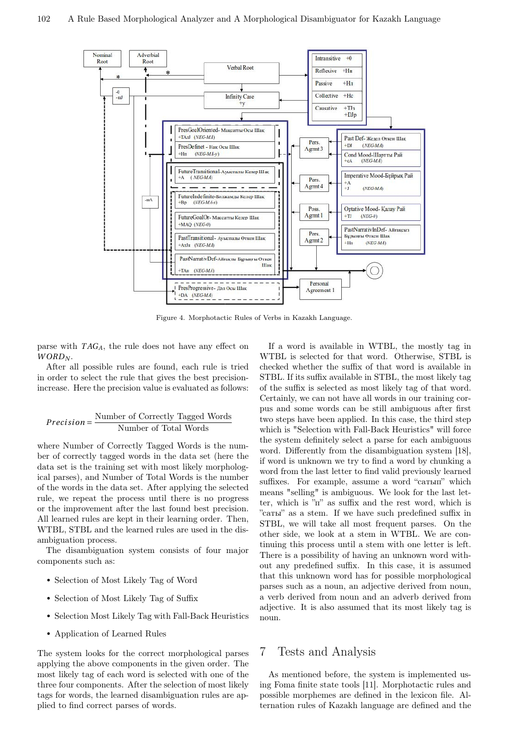

Figure 4. Morphotactic Rules of Verbs in Kazakh Language.

parse with *T AGA*, the rule does not have any effect on *W ORD<sup>N</sup>* .

After all possible rules are found, each rule is tried in order to select the rule that gives the best precisionincrease. Here the precision value is evaluated as follows:

#### *Precision* =  $\frac{\text{Number of Correctly Tagged Words}}{\text{Number of Total Words}}$ Number of Total Words

where Number of Correctly Tagged Words is the number of correctly tagged words in the data set (here the data set is the training set with most likely morphological parses), and Number of Total Words is the number of the words in the data set. After applying the selected rule, we repeat the process until there is no progress or the improvement after the last found best precision. All learned rules are kept in their learning order. Then, WTBL, STBL and the learned rules are used in the disambiguation process.

The disambiguation system consists of four major components such as:

- Selection of Most Likely Tag of Word
- Selection of Most Likely Tag of Suffix
- Selection Most Likely Tag with Fall-Back Heuristics
- Application of Learned Rules

The system looks for the correct morphological parses applying the above components in the given order. The most likely tag of each word is selected with one of the three four components. After the selection of most likely tags for words, the learned disambiguation rules are applied to find correct parses of words.

If a word is available in WTBL, the mostly tag in WTBL is selected for that word. Otherwise, STBL is checked whether the suffix of that word is available in STBL. If its suffix available in STBL, the most likely tag of the suffix is selected as most likely tag of that word. Certainly, we can not have all words in our training corpus and some words can be still ambiguous after first two steps have been applied. In this case, the third step which is "Selection with Fall-Back Heuristics" will force the system definitely select a parse for each ambiguous word. Differently from the disambiguation system [18], if word is unknown we try to find a word by chunking a word from the last letter to find valid previously learned suffixes. For example, assume a word "сатып" which means "selling" is ambiguous. We look for the last letter, which is "п" as suffix and the rest word, which is "саты" as a stem. If we have such predefined suffix in STBL, we will take all most frequent parses. On the other side, we look at a stem in WTBL. We are continuing this process until a stem with one letter is left. There is a possibility of having an unknown word without any predefined suffix. In this case, it is assumed that this unknown word has for possible morphological parses such as a noun, an adjective derived from noun, a verb derived from noun and an adverb derived from adjective. It is also assumed that its most likely tag is noun.

#### 7 Tests and Analysis

As mentioned before, the system is implemented using Foma finite state tools [11]. Morphotactic rules and possible morphemes are defined in the lexicon file. Alternation rules of Kazakh language are defined and the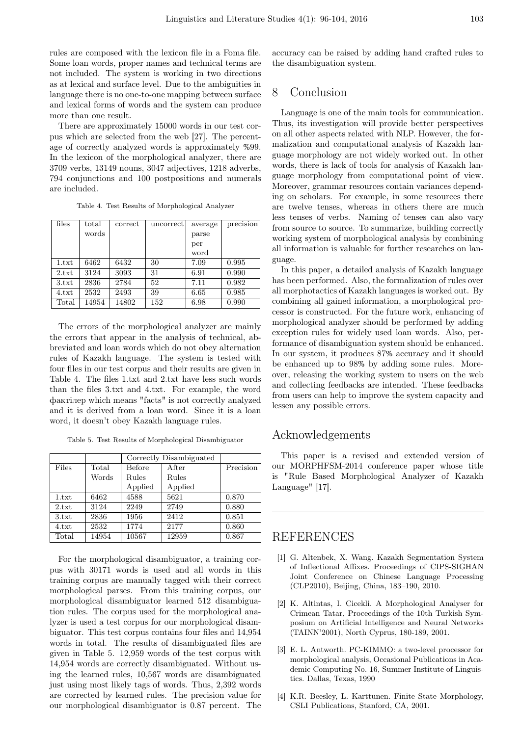rules are composed with the lexicon file in a Foma file. Some loan words, proper names and technical terms are not included. The system is working in two directions as at lexical and surface level. Due to the ambiguities in language there is no one-to-one mapping between surface and lexical forms of words and the system can produce more than one result.

There are approximately 15000 words in our test corpus which are selected from the web [27]. The percentage of correctly analyzed words is approximately %99. In the lexicon of the morphological analyzer, there are 3709 verbs, 13149 nouns, 3047 adjectives, 1218 adverbs, 794 conjunctions and 100 postpositions and numerals are included.

Table 4. Test Results of Morphological Analyzer

| files | total | correct | uncorrect | average | precision |
|-------|-------|---------|-----------|---------|-----------|
|       | words |         |           | parse   |           |
|       |       |         |           | per     |           |
|       |       |         |           | word    |           |
| 1.txt | 6462  | 6432    | 30        | 7.09    | 0.995     |
| 2.txt | 3124  | 3093    | 31        | 6.91    | 0.990     |
| 3.txt | 2836  | 2784    | 52        | 7.11    | 0.982     |
| 4.txt | 2532  | 2493    | 39        | 6.65    | 0.985     |
| Total | 14954 | 14802   | 152       | 6.98    | 0.990     |

The errors of the morphological analyzer are mainly the errors that appear in the analysis of technical, abbreviated and loan words which do not obey alternation rules of Kazakh language. The system is tested with four files in our test corpus and their results are given in Table 4. The files 1.txt and 2.txt have less such words than the files 3.txt and 4.txt. For example, the word фактiлер which means "facts" is not correctly analyzed and it is derived from a loan word. Since it is a loan word, it doesn't obey Kazakh language rules.

Table 5. Test Results of Morphological Disambiguator

|       |       | Correctly Disambiguated |         |           |
|-------|-------|-------------------------|---------|-----------|
| Files | Total | Before                  | After   | Precision |
|       | Words | Rules                   | Rules   |           |
|       |       | Applied                 | Applied |           |
| 1.txt | 6462  | 4588                    | 5621    | 0.870     |
| 2.txt | 3124  | 2249                    | 2749    | 0.880     |
| 3.txt | 2836  | 1956                    | 2412    | 0.851     |
| 4.txt | 2532  | 1774                    | 2177    | 0.860     |
| Total | 14954 | 10567                   | 12959   | 0.867     |

For the morphological disambiguator, a training corpus with 30171 words is used and all words in this training corpus are manually tagged with their correct morphological parses. From this training corpus, our morphological disambiguator learned 512 disambiguation rules. The corpus used for the morphological analyzer is used a test corpus for our morphological disambiguator. This test corpus contains four files and 14,954 words in total. The results of disambiguated files are given in Table 5. 12,959 words of the test corpus with 14,954 words are correctly disambiguated. Without using the learned rules, 10,567 words are disambiguated just using most likely tags of words. Thus, 2,392 words are corrected by learned rules. The precision value for our morphological disambiguator is 0.87 percent. The accuracy can be raised by adding hand crafted rules to the disambiguation system.

# 8 Conclusion

Language is one of the main tools for communication. Thus, its investigation will provide better perspectives on all other aspects related with NLP. However, the formalization and computational analysis of Kazakh language morphology are not widely worked out. In other words, there is lack of tools for analysis of Kazakh language morphology from computational point of view. Moreover, grammar resources contain variances depending on scholars. For example, in some resources there are twelve tenses, whereas in others there are much less tenses of verbs. Naming of tenses can also vary from source to source. To summarize, building correctly working system of morphological analysis by combining all information is valuable for further researches on language.

In this paper, a detailed analysis of Kazakh language has been performed. Also, the formalization of rules over all morphotactics of Kazakh languages is worked out. By combining all gained information, a morphological processor is constructed. For the future work, enhancing of morphological analyzer should be performed by adding exception rules for widely used loan words. Also, performance of disambiguation system should be enhanced. In our system, it produces 87% accuracy and it should be enhanced up to 98% by adding some rules. Moreover, releasing the working system to users on the web and collecting feedbacks are intended. These feedbacks from users can help to improve the system capacity and lessen any possible errors.

# Acknowledgements

This paper is a revised and extended version of our MORPHFSM-2014 conference paper whose title is "Rule Based Morphological Analyzer of Kazakh Language" [17].

## REFERENCES

- [1] G. Altenbek, X. Wang. Kazakh Segmentation System of Inflectional Affixes. Proceedings of CIPS-SIGHAN Joint Conference on Chinese Language Processing (CLP2010), Beijing, China, 183–190, 2010.
- [2] K. Altintas, I. Cicekli. A Morphological Analyser for Crimean Tatar, Proceedings of the 10th Turkish Symposium on Artificial Intelligence and Neural Networks (TAINN'2001), North Cyprus, 180-189, 2001.
- [3] E. L. Antworth. PC-KIMMO: a two-level processor for morphological analysis, Occasional Publications in Academic Computing No. 16, Summer Institute of Linguistics. Dallas, Texas, 1990
- [4] K.R. Beesley, L. Karttunen. Finite State Morphology, CSLI Publications, Stanford, CA, 2001.